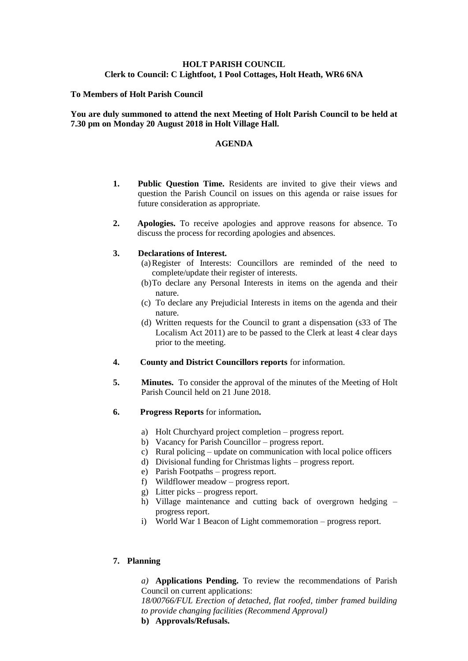# **HOLT PARISH COUNCIL Clerk to Council: C Lightfoot, 1 Pool Cottages, Holt Heath, WR6 6NA**

### **To Members of Holt Parish Council**

## **You are duly summoned to attend the next Meeting of Holt Parish Council to be held at 7.30 pm on Monday 20 August 2018 in Holt Village Hall.**

#### **AGENDA**

- **1. Public Question Time.** Residents are invited to give their views and question the Parish Council on issues on this agenda or raise issues for future consideration as appropriate.
- **2. Apologies.** To receive apologies and approve reasons for absence. To discuss the process for recording apologies and absences.

#### **3. Declarations of Interest.**

- (a)Register of Interests: Councillors are reminded of the need to complete/update their register of interests.
- (b)To declare any Personal Interests in items on the agenda and their nature.
- (c) To declare any Prejudicial Interests in items on the agenda and their nature.
- (d) Written requests for the Council to grant a dispensation (s33 of The Localism Act 2011) are to be passed to the Clerk at least 4 clear days prior to the meeting.
- **4. County and District Councillors reports** for information.
- **5. Minutes.** To consider the approval of the minutes of the Meeting of Holt Parish Council held on 21 June 2018.
- **6. Progress Reports** for information**.**
	- a) Holt Churchyard project completion progress report.
	- b) Vacancy for Parish Councillor progress report.
	- c) Rural policing update on communication with local police officers
	- d) Divisional funding for Christmas lights progress report.
	- e) Parish Footpaths progress report.
	- f) Wildflower meadow progress report.
	- g) Litter picks progress report.
	- h) Village maintenance and cutting back of overgrown hedging progress report.
	- i) World War 1 Beacon of Light commemoration progress report.

## **7. Planning**

*a)* **Applications Pending.** To review the recommendations of Parish Council on current applications:

*18/00766/FUL Erection of detached, flat roofed, timber framed building to provide changing facilities (Recommend Approval)*

**b) Approvals/Refusals.**